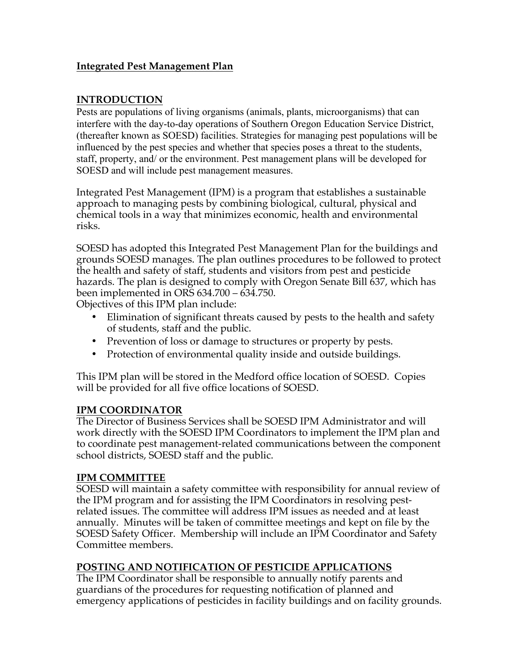## **Integrated Pest Management Plan**

## **INTRODUCTION**

Pests are populations of living organisms (animals, plants, microorganisms) that can interfere with the day-to-day operations of Southern Oregon Education Service District, (thereafter known as SOESD) facilities. Strategies for managing pest populations will be influenced by the pest species and whether that species poses a threat to the students, staff, property, and/ or the environment. Pest management plans will be developed for SOESD and will include pest management measures.

Integrated Pest Management (IPM) is a program that establishes a sustainable approach to managing pests by combining biological, cultural, physical and chemical tools in a way that minimizes economic, health and environmental risks.

SOESD has adopted this Integrated Pest Management Plan for the buildings and grounds SOESD manages. The plan outlines procedures to be followed to protect the health and safety of staff, students and visitors from pest and pesticide hazards. The plan is designed to comply with Oregon Senate Bill 637, which has been implemented in ORS 634.700 – 634.750.

Objectives of this IPM plan include:

- Elimination of significant threats caused by pests to the health and safety of students, staff and the public.
- Prevention of loss or damage to structures or property by pests.
- Protection of environmental quality inside and outside buildings.

This IPM plan will be stored in the Medford office location of SOESD. Copies will be provided for all five office locations of SOESD.

## **IPM COORDINATOR**

The Director of Business Services shall be SOESD IPM Administrator and will work directly with the SOESD IPM Coordinators to implement the IPM plan and to coordinate pest management-related communications between the component school districts, SOESD staff and the public.

## **IPM COMMITTEE**

SOESD will maintain a safety committee with responsibility for annual review of the IPM program and for assisting the IPM Coordinators in resolving pestrelated issues. The committee will address IPM issues as needed and at least annually. Minutes will be taken of committee meetings and kept on file by the SOESD Safety Officer. Membership will include an IPM Coordinator and Safety Committee members.

## **POSTING AND NOTIFICATION OF PESTICIDE APPLICATIONS**

The IPM Coordinator shall be responsible to annually notify parents and guardians of the procedures for requesting notification of planned and emergency applications of pesticides in facility buildings and on facility grounds.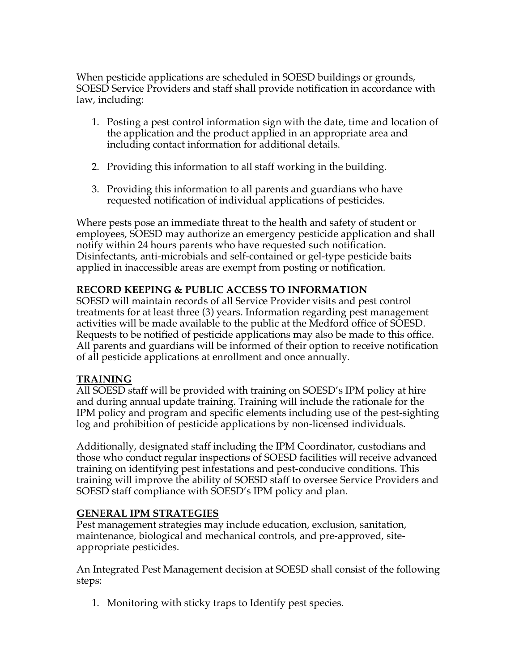When pesticide applications are scheduled in SOESD buildings or grounds, SOESD Service Providers and staff shall provide notification in accordance with law, including:

- 1. Posting a pest control information sign with the date, time and location of the application and the product applied in an appropriate area and including contact information for additional details.
- 2. Providing this information to all staff working in the building.
- 3. Providing this information to all parents and guardians who have requested notification of individual applications of pesticides.

Where pests pose an immediate threat to the health and safety of student or employees, SOESD may authorize an emergency pesticide application and shall notify within 24 hours parents who have requested such notification. Disinfectants, anti-microbials and self-contained or gel-type pesticide baits applied in inaccessible areas are exempt from posting or notification.

## **RECORD KEEPING & PUBLIC ACCESS TO INFORMATION**

SOESD will maintain records of all Service Provider visits and pest control treatments for at least three (3) years. Information regarding pest management activities will be made available to the public at the Medford office of SOESD. Requests to be notified of pesticide applications may also be made to this office. All parents and guardians will be informed of their option to receive notification of all pesticide applications at enrollment and once annually.

## **TRAINING**

All SOESD staff will be provided with training on SOESD's IPM policy at hire and during annual update training. Training will include the rationale for the IPM policy and program and specific elements including use of the pest-sighting log and prohibition of pesticide applications by non-licensed individuals.

Additionally, designated staff including the IPM Coordinator, custodians and those who conduct regular inspections of SOESD facilities will receive advanced training on identifying pest infestations and pest-conducive conditions. This training will improve the ability of SOESD staff to oversee Service Providers and SOESD staff compliance with SOESD's IPM policy and plan.

## **GENERAL IPM STRATEGIES**

Pest management strategies may include education, exclusion, sanitation, maintenance, biological and mechanical controls, and pre-approved, siteappropriate pesticides.

An Integrated Pest Management decision at SOESD shall consist of the following steps:

1. Monitoring with sticky traps to Identify pest species.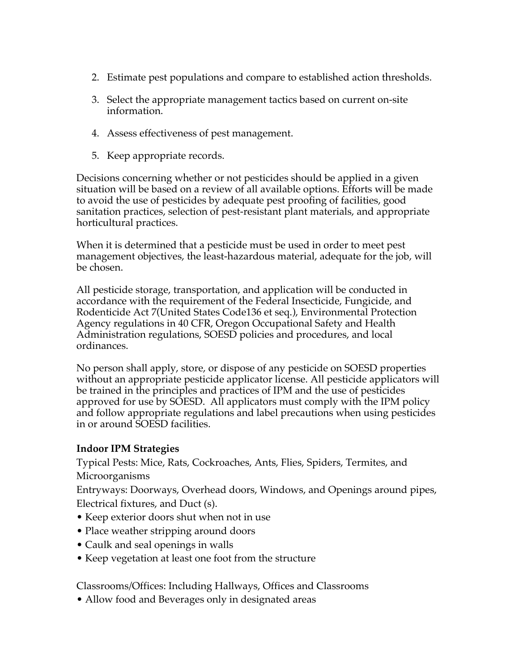- 2. Estimate pest populations and compare to established action thresholds.
- 3. Select the appropriate management tactics based on current on-site information.
- 4. Assess effectiveness of pest management.
- 5. Keep appropriate records.

Decisions concerning whether or not pesticides should be applied in a given situation will be based on a review of all available options. Efforts will be made to avoid the use of pesticides by adequate pest proofing of facilities, good sanitation practices, selection of pest-resistant plant materials, and appropriate horticultural practices.

When it is determined that a pesticide must be used in order to meet pest management objectives, the least-hazardous material, adequate for the job, will be chosen.

All pesticide storage, transportation, and application will be conducted in accordance with the requirement of the Federal Insecticide, Fungicide, and Rodenticide Act 7(United States Code136 et seq.), Environmental Protection Agency regulations in 40 CFR, Oregon Occupational Safety and Health Administration regulations, SOESD policies and procedures, and local ordinances.

No person shall apply, store, or dispose of any pesticide on SOESD properties without an appropriate pesticide applicator license. All pesticide applicators will be trained in the principles and practices of IPM and the use of pesticides approved for use by SOESD. All applicators must comply with the IPM policy and follow appropriate regulations and label precautions when using pesticides in or around SOESD facilities.

## **Indoor IPM Strategies**

Typical Pests: Mice, Rats, Cockroaches, Ants, Flies, Spiders, Termites, and Microorganisms

Entryways: Doorways, Overhead doors, Windows, and Openings around pipes, Electrical fixtures, and Duct (s).

- Keep exterior doors shut when not in use
- Place weather stripping around doors
- Caulk and seal openings in walls
- Keep vegetation at least one foot from the structure

Classrooms/Offices: Including Hallways, Offices and Classrooms

• Allow food and Beverages only in designated areas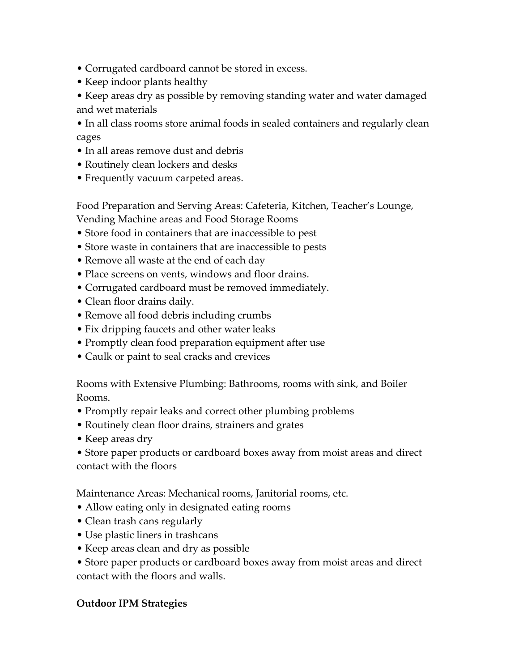- Corrugated cardboard cannot be stored in excess.
- Keep indoor plants healthy
- Keep areas dry as possible by removing standing water and water damaged and wet materials
- In all class rooms store animal foods in sealed containers and regularly clean cages
- In all areas remove dust and debris
- Routinely clean lockers and desks
- Frequently vacuum carpeted areas.

Food Preparation and Serving Areas: Cafeteria, Kitchen, Teacher's Lounge, Vending Machine areas and Food Storage Rooms

- Store food in containers that are inaccessible to pest
- Store waste in containers that are inaccessible to pests
- Remove all waste at the end of each day
- Place screens on vents, windows and floor drains.
- Corrugated cardboard must be removed immediately.
- Clean floor drains daily.
- Remove all food debris including crumbs
- Fix dripping faucets and other water leaks
- Promptly clean food preparation equipment after use
- Caulk or paint to seal cracks and crevices

Rooms with Extensive Plumbing: Bathrooms, rooms with sink, and Boiler Rooms.

- Promptly repair leaks and correct other plumbing problems
- Routinely clean floor drains, strainers and grates
- Keep areas dry
- Store paper products or cardboard boxes away from moist areas and direct contact with the floors

Maintenance Areas: Mechanical rooms, Janitorial rooms, etc.

- Allow eating only in designated eating rooms
- Clean trash cans regularly
- Use plastic liners in trashcans
- Keep areas clean and dry as possible
- Store paper products or cardboard boxes away from moist areas and direct contact with the floors and walls.

# **Outdoor IPM Strategies**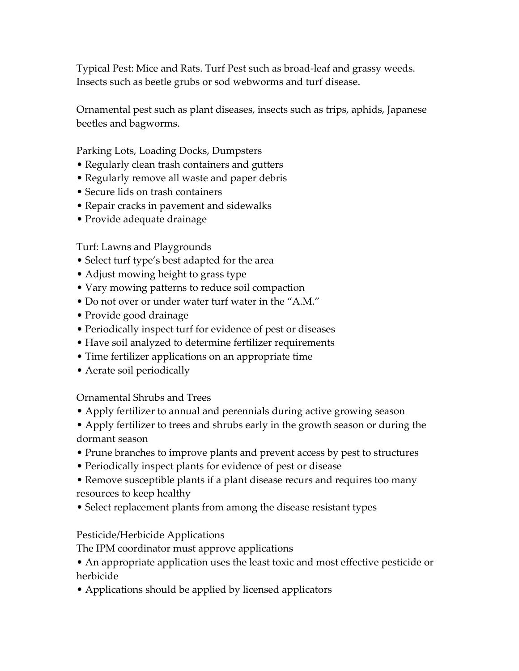Typical Pest: Mice and Rats. Turf Pest such as broad-leaf and grassy weeds. Insects such as beetle grubs or sod webworms and turf disease.

Ornamental pest such as plant diseases, insects such as trips, aphids, Japanese beetles and bagworms.

Parking Lots, Loading Docks, Dumpsters

- Regularly clean trash containers and gutters
- Regularly remove all waste and paper debris
- Secure lids on trash containers
- Repair cracks in pavement and sidewalks
- Provide adequate drainage

Turf: Lawns and Playgrounds

- Select turf type's best adapted for the area
- Adjust mowing height to grass type
- Vary mowing patterns to reduce soil compaction
- Do not over or under water turf water in the "A.M."
- Provide good drainage
- Periodically inspect turf for evidence of pest or diseases
- Have soil analyzed to determine fertilizer requirements
- Time fertilizer applications on an appropriate time
- Aerate soil periodically

Ornamental Shrubs and Trees

- Apply fertilizer to annual and perennials during active growing season
- Apply fertilizer to trees and shrubs early in the growth season or during the dormant season
- Prune branches to improve plants and prevent access by pest to structures
- Periodically inspect plants for evidence of pest or disease
- Remove susceptible plants if a plant disease recurs and requires too many resources to keep healthy
- Select replacement plants from among the disease resistant types

## Pesticide/Herbicide Applications

The IPM coordinator must approve applications

- An appropriate application uses the least toxic and most effective pesticide or herbicide
- Applications should be applied by licensed applicators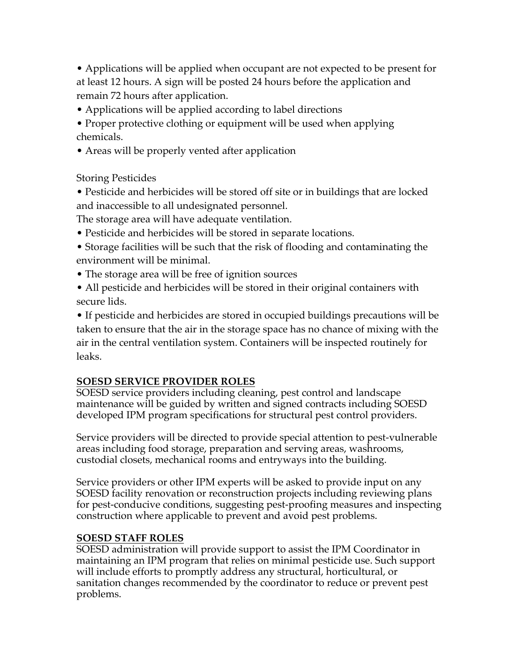• Applications will be applied when occupant are not expected to be present for at least 12 hours. A sign will be posted 24 hours before the application and remain 72 hours after application.

• Applications will be applied according to label directions

• Proper protective clothing or equipment will be used when applying chemicals.

• Areas will be properly vented after application

Storing Pesticides

• Pesticide and herbicides will be stored off site or in buildings that are locked and inaccessible to all undesignated personnel.

The storage area will have adequate ventilation.

- Pesticide and herbicides will be stored in separate locations.
- Storage facilities will be such that the risk of flooding and contaminating the environment will be minimal.
- The storage area will be free of ignition sources
- All pesticide and herbicides will be stored in their original containers with secure lids.

• If pesticide and herbicides are stored in occupied buildings precautions will be taken to ensure that the air in the storage space has no chance of mixing with the air in the central ventilation system. Containers will be inspected routinely for leaks.

## **SOESD SERVICE PROVIDER ROLES**

SOESD service providers including cleaning, pest control and landscape maintenance will be guided by written and signed contracts including SOESD developed IPM program specifications for structural pest control providers.

Service providers will be directed to provide special attention to pest-vulnerable areas including food storage, preparation and serving areas, washrooms, custodial closets, mechanical rooms and entryways into the building.

Service providers or other IPM experts will be asked to provide input on any SOESD facility renovation or reconstruction projects including reviewing plans for pest-conducive conditions, suggesting pest-proofing measures and inspecting construction where applicable to prevent and avoid pest problems.

## **SOESD STAFF ROLES**

SOESD administration will provide support to assist the IPM Coordinator in maintaining an IPM program that relies on minimal pesticide use. Such support will include efforts to promptly address any structural, horticultural, or sanitation changes recommended by the coordinator to reduce or prevent pest problems.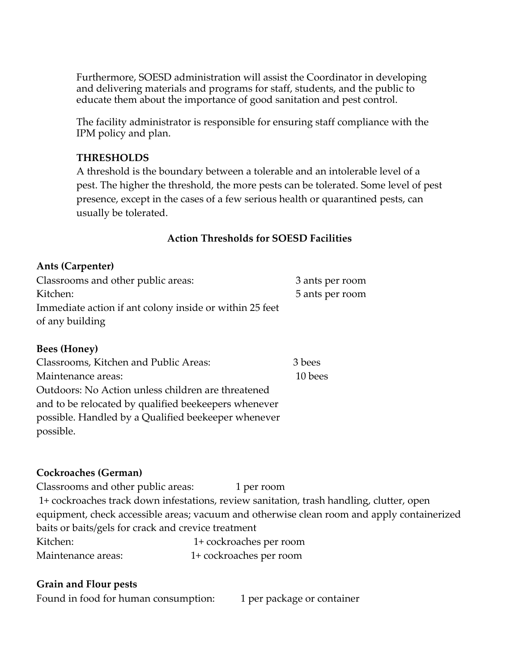Furthermore, SOESD administration will assist the Coordinator in developing and delivering materials and programs for staff, students, and the public to educate them about the importance of good sanitation and pest control.

The facility administrator is responsible for ensuring staff compliance with the IPM policy and plan.

#### **THRESHOLDS**

A threshold is the boundary between a tolerable and an intolerable level of a pest. The higher the threshold, the more pests can be tolerated. Some level of pest presence, except in the cases of a few serious health or quarantined pests, can usually be tolerated.

#### **Action Thresholds for SOESD Facilities**

#### **Ants (Carpenter)**

| Classrooms and other public areas:                      | 3 ants per room |
|---------------------------------------------------------|-----------------|
| Kitchen:                                                | 5 ants per room |
| Immediate action if ant colony inside or within 25 feet |                 |
| of any building                                         |                 |
|                                                         |                 |

#### **Bees (Honey)**

| Classrooms, Kitchen and Public Areas:                | 3 bees  |
|------------------------------------------------------|---------|
| Maintenance areas:                                   | 10 bees |
| Outdoors: No Action unless children are threatened   |         |
| and to be relocated by qualified beekeepers whenever |         |
| possible. Handled by a Qualified beekeeper whenever  |         |
| possible.                                            |         |

## **Cockroaches (German)**

| Classrooms and other public areas:                  | 1 per room                                                                                 |
|-----------------------------------------------------|--------------------------------------------------------------------------------------------|
|                                                     | 1+ cockroaches track down infestations, review sanitation, trash handling, clutter, open   |
|                                                     | equipment, check accessible areas; vacuum and otherwise clean room and apply containerized |
| baits or baits/gels for crack and crevice treatment |                                                                                            |
| Kitchen:                                            | 1+ cockroaches per room                                                                    |
| Maintenance areas:                                  | 1+ cockroaches per room                                                                    |

## **Grain and Flour pests**

Found in food for human consumption: 1 per package or container